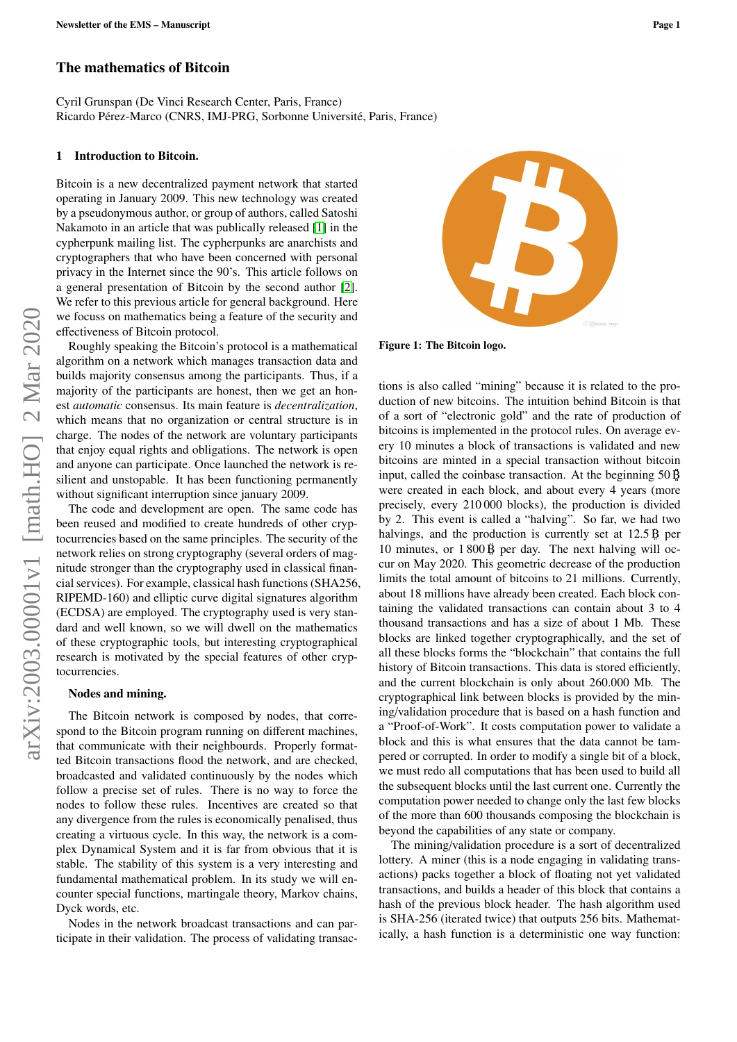# The mathematics of Bitcoin

Cyril Grunspan (De Vinci Research Center, Paris, France) Ricardo Pérez-Marco (CNRS, IMJ-PRG, Sorbonne Université, Paris, France)

# 1 Introduction to Bitcoin.

Bitcoin is a new decentralized payment network that started operating in January 2009. This new technology was created by a pseudonymous author, or group of authors, called Satoshi Nakamoto in an article that was publically released [\[1\]](#page-6-0) in the cypherpunk mailing list. The cypherpunks are anarchists and cryptographers that who have been concerned with personal privacy in the Internet since the 90's. This article follows on a general presentation of Bitcoin by the second author [\[2\]](#page-6-1). We refer to this previous article for general background. Here we focuss on mathematics being a feature of the security and effectiveness of Bitcoin protocol.

Roughly speaking the Bitcoin's protocol is a mathematical algorithm on a network which manages transaction data and builds majority consensus among the participants. Thus, if a majority of the participants are honest, then we get an honest *automatic* consensus. Its main feature is *decentralization*, which means that no organization or central structure is in charge. The nodes of the network are voluntary participants that enjoy equal rights and obligations. The network is open and anyone can participate. Once launched the network is resilient and unstopable. It has been functioning permanently without significant interruption since january 2009.

The code and development are open. The same code has been reused and modified to create hundreds of other cryptocurrencies based on the same principles. The security of the network relies on strong cryptography (several orders of magnitude stronger than the cryptography used in classical financial services). For example, classical hash functions (SHA256, RIPEMD-160) and elliptic curve digital signatures algorithm (ECDSA) are employed. The cryptography used is very standard and well known, so we will dwell on the mathematics of these cryptographic tools, but interesting cryptographical research is motivated by the special features of other cryptocurrencies.

#### Nodes and mining.

The Bitcoin network is composed by nodes, that correspond to the Bitcoin program running on different machines, that communicate with their neighbourds. Properly formatted Bitcoin transactions flood the network, and are checked, broadcasted and validated continuously by the nodes which follow a precise set of rules. There is no way to force the nodes to follow these rules. Incentives are created so that any divergence from the rules is economically penalised, thus creating a virtuous cycle. In this way, the network is a complex Dynamical System and it is far from obvious that it is stable. The stability of this system is a very interesting and fundamental mathematical problem. In its study we will encounter special functions, martingale theory, Markov chains, Dyck words, etc.

Nodes in the network broadcast transactions and can participate in their validation. The process of validating transac-



Figure 1: The Bitcoin logo.

tions is also called "mining" because it is related to the production of new bitcoins. The intuition behind Bitcoin is that of a sort of "electronic gold" and the rate of production of bitcoins is implemented in the protocol rules. On average every 10 minutes a block of transactions is validated and new bitcoins are minted in a special transaction without bitcoin input, called the coinbase transaction. At the beginning  $50\overrightarrow{B}$ were created in each block, and about every 4 years (more precisely, every 210 000 blocks), the production is divided by 2. This event is called a "halving". So far, we had two halvings, and the production is currently set at  $12.5\overrightarrow{B}$  per 10 minutes, or  $1800\,\mathrm{\ddot{B}}$  per day. The next halving will occur on May 2020. This geometric decrease of the production limits the total amount of bitcoins to 21 millions. Currently, about 18 millions have already been created. Each block containing the validated transactions can contain about 3 to 4 thousand transactions and has a size of about 1 Mb. These blocks are linked together cryptographically, and the set of all these blocks forms the "blockchain" that contains the full history of Bitcoin transactions. This data is stored efficiently, and the current blockchain is only about 260.000 Mb. The cryptographical link between blocks is provided by the mining/validation procedure that is based on a hash function and a "Proof-of-Work". It costs computation power to validate a block and this is what ensures that the data cannot be tampered or corrupted. In order to modify a single bit of a block, we must redo all computations that has been used to build all the subsequent blocks until the last current one. Currently the computation power needed to change only the last few blocks of the more than 600 thousands composing the blockchain is beyond the capabilities of any state or company.

The mining/validation procedure is a sort of decentralized lottery. A miner (this is a node engaging in validating transactions) packs together a block of floating not yet validated transactions, and builds a header of this block that contains a hash of the previous block header. The hash algorithm used is SHA-256 (iterated twice) that outputs 256 bits. Mathematically, a hash function is a deterministic one way function: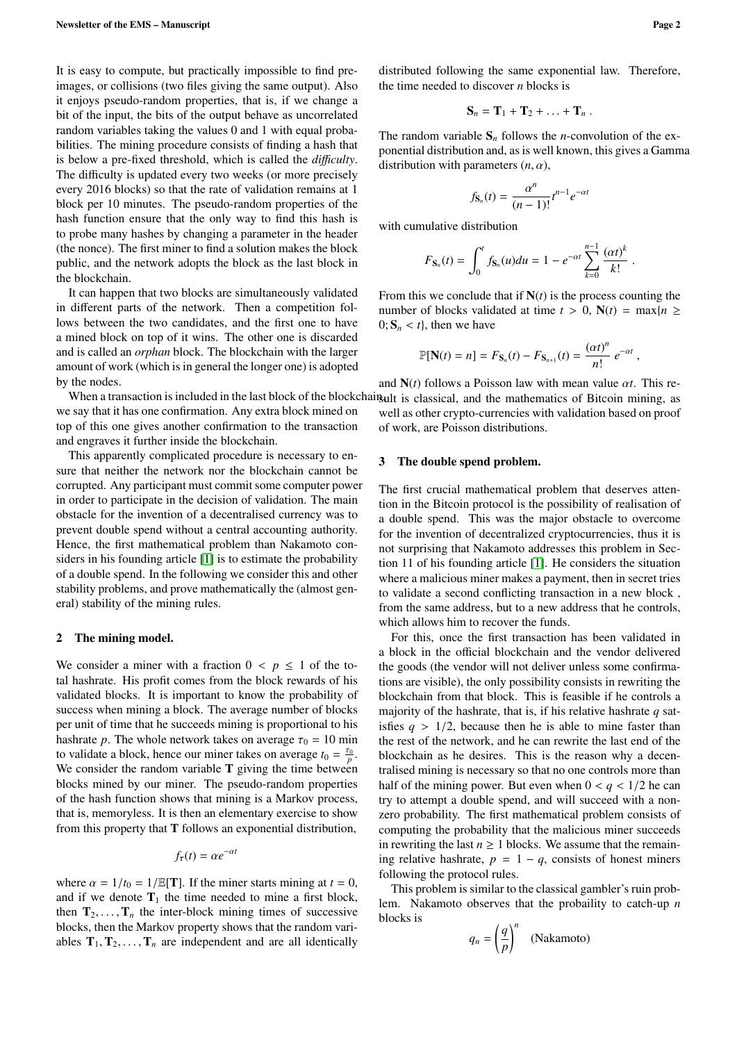It is easy to compute, but practically impossible to find preimages, or collisions (two files giving the same output). Also it enjoys pseudo-random properties, that is, if we change a bit of the input, the bits of the output behave as uncorrelated random variables taking the values 0 and 1 with equal probabilities. The mining procedure consists of finding a hash that is below a pre-fixed threshold, which is called the *di*ffi*culty*. The difficulty is updated every two weeks (or more precisely every 2016 blocks) so that the rate of validation remains at 1 block per 10 minutes. The pseudo-random properties of the hash function ensure that the only way to find this hash is to probe many hashes by changing a parameter in the header (the nonce). The first miner to find a solution makes the block public, and the network adopts the block as the last block in the blockchain.

It can happen that two blocks are simultaneously validated in different parts of the network. Then a competition follows between the two candidates, and the first one to have a mined block on top of it wins. The other one is discarded and is called an *orphan* block. The blockchain with the larger amount of work (which is in general the longer one) is adopted by the nodes.

we say that it has one confirmation. Any extra block mined on top of this one gives another confirmation to the transaction and engraves it further inside the blockchain.

This apparently complicated procedure is necessary to ensure that neither the network nor the blockchain cannot be corrupted. Any participant must commit some computer power in order to participate in the decision of validation. The main obstacle for the invention of a decentralised currency was to prevent double spend without a central accounting authority. Hence, the first mathematical problem than Nakamoto considers in his founding article [\[1\]](#page-6-0) is to estimate the probability of a double spend. In the following we consider this and other stability problems, and prove mathematically the (almost general) stability of the mining rules.

#### 2 The mining model.

We consider a miner with a fraction  $0 \lt p \leq 1$  of the total hashrate. His profit comes from the block rewards of his validated blocks. It is important to know the probability of success when mining a block. The average number of blocks per unit of time that he succeeds mining is proportional to his hashrate *p*. The whole network takes on average  $\tau_0 = 10$  min to validate a block, hence our miner takes on average  $t_0 = \frac{\tau_0}{p}$ . We consider the random variable  $T$  giving the time between blocks mined by our miner. The pseudo-random properties of the hash function shows that mining is a Markov process, that is, memoryless. It is then an elementary exercise to show from this property that  $T$  follows an exponential distribution,

$$
f_{\tau}(t) = \alpha e^{-\alpha t}
$$

where  $\alpha = 1/t_0 = 1/\mathbb{E}[T]$ . If the miner starts mining at  $t = 0$ , and if we denote  $T_1$  the time needed to mine a first block, then  $T_2, \ldots, T_n$  the inter-block mining times of successive blocks, then the Markov property shows that the random variables  $T_1, T_2, \ldots, T_n$  are independent and are all identically

distributed following the same exponential law. Therefore, the time needed to discover *n* blocks is

$$
\mathbf{S}_n = \mathbf{T}_1 + \mathbf{T}_2 + \ldots + \mathbf{T}_n \ .
$$

The random variable  $S_n$  follows the *n*-convolution of the exponential distribution and, as is well known, this gives a Gamma distribution with parameters  $(n, \alpha)$ ,

$$
f_{\mathbf{S}_n}(t) = \frac{\alpha^n}{(n-1)!} t^{n-1} e^{-\alpha t}
$$

with cumulative distribution

$$
F_{\mathbf{S}_n}(t) = \int_0^t f_{\mathbf{S}_n}(u) du = 1 - e^{-\alpha t} \sum_{k=0}^{n-1} \frac{(\alpha t)^k}{k!}.
$$

From this we conclude that if  $N(t)$  is the process counting the number of blocks validated at time  $t > 0$ ,  $N(t) = \max\{n \geq 1\}$  $0; S_n < t$ , then we have

$$
\mathbb{P}[\mathbf{N}(t) = n] = F_{\mathbf{S}_n}(t) - F_{\mathbf{S}_{n+1}}(t) = \frac{(\alpha t)^n}{n!} e^{-\alpha t},
$$

When a transaction is included in the last block of the blockchain ult is classical, and the mathematics of Bitcoin mining, as and <sup>N</sup>(*t*) follows a Poisson law with mean value α*t*. This rewell as other crypto-currencies with validation based on proof of work, are Poisson distributions.

## <span id="page-1-0"></span>3 The double spend problem.

The first crucial mathematical problem that deserves attention in the Bitcoin protocol is the possibility of realisation of a double spend. This was the major obstacle to overcome for the invention of decentralized cryptocurrencies, thus it is not surprising that Nakamoto addresses this problem in Section 11 of his founding article [\[1\]](#page-6-0). He considers the situation where a malicious miner makes a payment, then in secret tries to validate a second conflicting transaction in a new block , from the same address, but to a new address that he controls, which allows him to recover the funds.

For this, once the first transaction has been validated in a block in the official blockchain and the vendor delivered the goods (the vendor will not deliver unless some confirmations are visible), the only possibility consists in rewriting the blockchain from that block. This is feasible if he controls a majority of the hashrate, that is, if his relative hashrate *q* satisfies  $q > 1/2$ , because then he is able to mine faster than the rest of the network, and he can rewrite the last end of the blockchain as he desires. This is the reason why a decentralised mining is necessary so that no one controls more than half of the mining power. But even when  $0 < q < 1/2$  he can try to attempt a double spend, and will succeed with a nonzero probability. The first mathematical problem consists of computing the probability that the malicious miner succeeds in rewriting the last  $n \geq 1$  blocks. We assume that the remaining relative hashrate,  $p = 1 - q$ , consists of honest miners following the protocol rules.

This problem is similar to the classical gambler's ruin problem. Nakamoto observes that the probaility to catch-up *n* blocks is

$$
q_n = \left(\frac{q}{p}\right)^n \quad \text{(Nakamoto)}
$$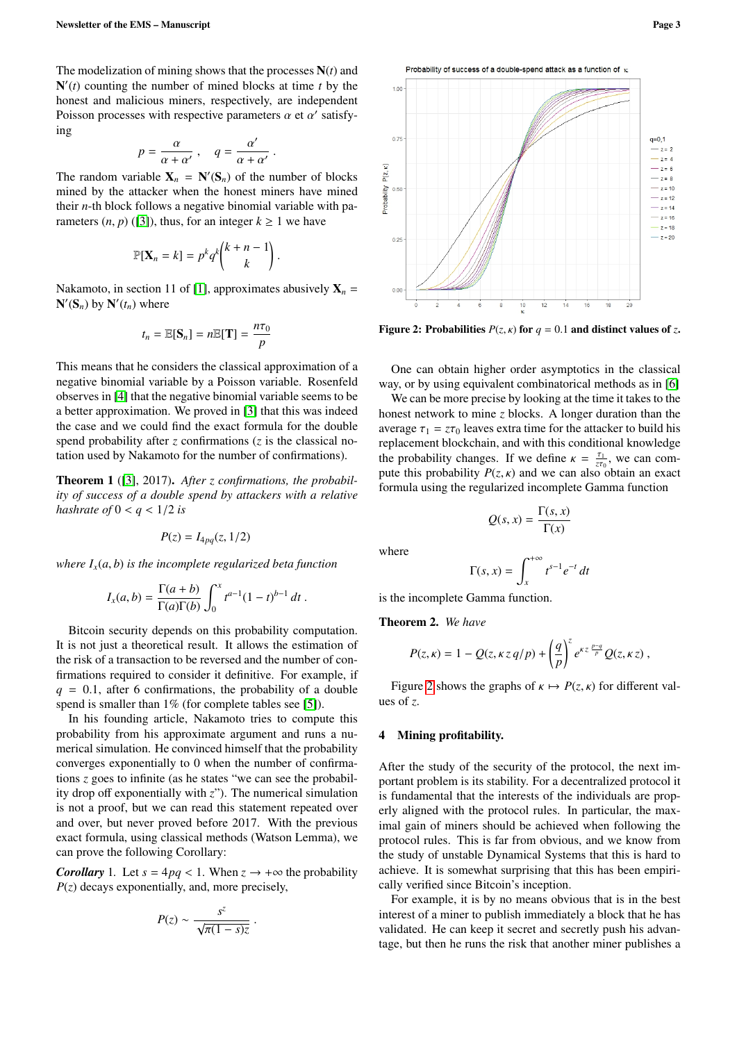The modelization of mining shows that the processes N(*t*) and  $N'(t)$  counting the number of mined blocks at time  $t$  by the honest and malicious miners, respectively, are independent Poisson processes with respective parameters  $\alpha$  et  $\alpha'$  satisfying ing

$$
p=\frac{\alpha}{\alpha+\alpha'}\;,\quad q=\frac{\alpha'}{\alpha+\alpha'}
$$

The random variable  $X_n = N'(S_n)$  of the number of blocks mined by the attacker when the honest miners have mined their *n*-th block follows a negative binomial variable with parameters  $(n, p)$  ([\[3\]](#page-6-2)), thus, for an integer  $k \ge 1$  we have

$$
\mathbb{P}[\mathbf{X}_n = k] = p^k q^k \binom{k+n-1}{k}
$$

Nakamoto, in section 11 of [\[1\]](#page-6-0), approximates abusively  $X_n =$  $N'(S_n)$  by  $N'(t_n)$  where

$$
t_n = \mathbb{E}[\mathbf{S}_n] = n \mathbb{E}[\mathbf{T}] = \frac{n\tau_0}{p}
$$

This means that he considers the classical approximation of a negative binomial variable by a Poisson variable. Rosenfeld observes in [\[4\]](#page-6-3) that the negative binomial variable seems to be a better approximation. We proved in [\[3\]](#page-6-2) that this was indeed the case and we could find the exact formula for the double spend probability after  $\zeta$  confirmations  $(\zeta)$  is the classical notation used by Nakamoto for the number of confirmations).

<span id="page-2-2"></span>Theorem 1 ([\[3\]](#page-6-2), 2017). *After z confirmations, the probability of success of a double spend by attackers with a relative hashrate of*  $0 < q < 1/2$  *is* 

$$
P(z) = I_{4pq}(z, 1/2)
$$

*where*  $I_x(a, b)$  *is the incomplete regularized beta function* 

$$
I_x(a,b) = \frac{\Gamma(a+b)}{\Gamma(a)\Gamma(b)} \int_0^x t^{a-1} (1-t)^{b-1} dt.
$$

Bitcoin security depends on this probability computation. It is not just a theoretical result. It allows the estimation of the risk of a transaction to be reversed and the number of confirmations required to consider it definitive. For example, if  $q = 0.1$ , after 6 confirmations, the probability of a double spend is smaller than 1% (for complete tables see [\[5\]](#page-6-4)).

In his founding article, Nakamoto tries to compute this probability from his approximate argument and runs a numerical simulation. He convinced himself that the probability converges exponentially to 0 when the number of confirmations *z* goes to infinite (as he states "we can see the probability drop off exponentially with *z*"). The numerical simulation is not a proof, but we can read this statement repeated over and over, but never proved before 2017. With the previous exact formula, using classical methods (Watson Lemma), we can prove the following Corollary:

*Corollary* 1*.* Let  $s = 4pq < 1$ . When  $z \rightarrow +\infty$  the probability  $P(z)$  decays exponentially, and, more precisely,

$$
P(z) \sim \frac{s^z}{\sqrt{\pi(1-s)z}}.
$$

Probability of success of a double-spend attack as a function of x

<span id="page-2-0"></span>

Figure 2: Probabilities  $P(z, \kappa)$  for  $q = 0.1$  and distinct values of z.

One can obtain higher order asymptotics in the classical way, or by using equivalent combinatorical methods as in [\[6\]](#page-6-5)

We can be more precise by looking at the time it takes to the honest network to mine *z* blocks. A longer duration than the average  $\tau_1 = z\tau_0$  leaves extra time for the attacker to build his replacement blockchain, and with this conditional knowledge the probability changes. If we define  $\kappa = \frac{\tau_1}{z_0}$ , we can com-<br>pute this probability  $P(z|\kappa)$  and we can also obtain an exact pute this probability *P*(*z*, *k*) and we can also obtain an exact<br>formula using the regularized incomplete Gamma function formula using the regularized incomplete Gamma function

$$
Q(s,x) = \frac{\Gamma(s,x)}{\Gamma(x)}
$$

where

$$
\Gamma(s, x) = \int_{x}^{+\infty} t^{s-1} e^{-t} dt
$$

is the incomplete Gamma function.

Theorem 2. *We have*

$$
P(z,\kappa) = 1 - Q(z,\kappa z q/p) + \left(\frac{q}{p}\right)^z e^{\kappa z \frac{p-q}{p}} Q(z,\kappa z),
$$

Figure [2](#page-2-0) shows the graphs of  $\kappa \mapsto P(z, \kappa)$  for different values of *z*.

# <span id="page-2-1"></span>4 Mining profitability.

After the study of the security of the protocol, the next important problem is its stability. For a decentralized protocol it is fundamental that the interests of the individuals are properly aligned with the protocol rules. In particular, the maximal gain of miners should be achieved when following the protocol rules. This is far from obvious, and we know from the study of unstable Dynamical Systems that this is hard to achieve. It is somewhat surprising that this has been empirically verified since Bitcoin's inception.

For example, it is by no means obvious that is in the best interest of a miner to publish immediately a block that he has validated. He can keep it secret and secretly push his advantage, but then he runs the risk that another miner publishes a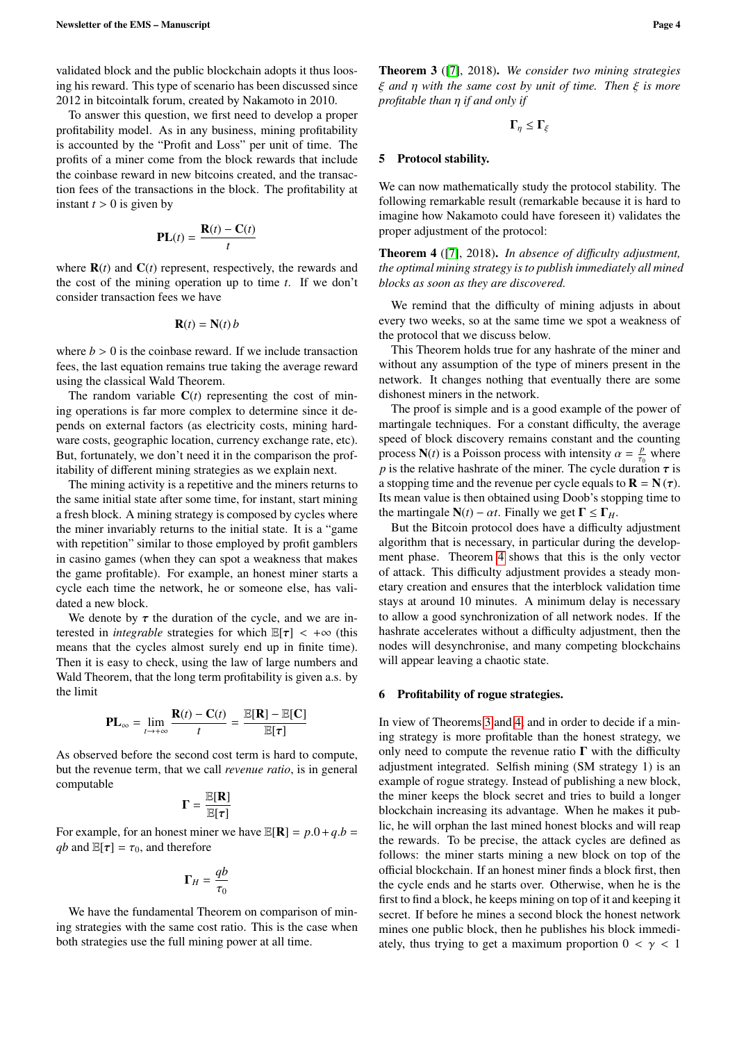validated block and the public blockchain adopts it thus loosing his reward. This type of scenario has been discussed since 2012 in bitcointalk forum, created by Nakamoto in 2010.

To answer this question, we first need to develop a proper profitability model. As in any business, mining profitability is accounted by the "Profit and Loss" per unit of time. The profits of a miner come from the block rewards that include the coinbase reward in new bitcoins created, and the transaction fees of the transactions in the block. The profitability at instant  $t > 0$  is given by

$$
\mathbf{PL}(t) = \frac{\mathbf{R}(t) - \mathbf{C}(t)}{t}
$$

where  $\mathbf{R}(t)$  and  $\mathbf{C}(t)$  represent, respectively, the rewards and the cost of the mining operation up to time *t*. If we don't consider transaction fees we have

$$
\mathbf{R}(t) = \mathbf{N}(t) b
$$

where  $b > 0$  is the coinbase reward. If we include transaction fees, the last equation remains true taking the average reward using the classical Wald Theorem.

The random variable  $C(t)$  representing the cost of mining operations is far more complex to determine since it depends on external factors (as electricity costs, mining hardware costs, geographic location, currency exchange rate, etc). But, fortunately, we don't need it in the comparison the profitability of different mining strategies as we explain next.

The mining activity is a repetitive and the miners returns to the same initial state after some time, for instant, start mining a fresh block. A mining strategy is composed by cycles where the miner invariably returns to the initial state. It is a "game with repetition" similar to those employed by profit gamblers in casino games (when they can spot a weakness that makes the game profitable). For example, an honest miner starts a cycle each time the network, he or someone else, has validated a new block.

We denote by  $\tau$  the duration of the cycle, and we are interested in *integrable* strategies for which  $\mathbb{E}[\tau] < +\infty$  (this means that the cycles almost surely end up in finite time). Then it is easy to check, using the law of large numbers and Wald Theorem, that the long term profitability is given a.s. by the limit

$$
\mathbf{PL}_{\infty} = \lim_{t \to +\infty} \frac{\mathbf{R}(t) - \mathbf{C}(t)}{t} = \frac{\mathbb{E}[\mathbf{R}] - \mathbb{E}[\mathbf{C}]}{\mathbb{E}[\tau]}
$$

As observed before the second cost term is hard to compute, but the revenue term, that we call *revenue ratio*, is in general computable

$$
\Gamma = \frac{\mathbb{E}[\mathbf{R}]}{\mathbb{E}[\tau]}
$$

For example, for an honest miner we have  $\mathbb{E}[\mathbf{R}] = p.0 + q.b =$ <br>*ab* and  $\mathbb{E}[\mathbf{r}] = \tau_0$  and therefore *qb* and  $\mathbb{E}[\tau] = \tau_0$ , and therefore

$$
\Gamma_H=\frac{qb}{\tau_0}
$$

We have the fundamental Theorem on comparison of mining strategies with the same cost ratio. This is the case when both strategies use the full mining power at all time.

<span id="page-3-1"></span>Theorem 3 ([\[7\]](#page-6-6), 2018). *We consider two mining strategies* ξ *and* η *with the same cost by unit of time. Then* ξ *is more profitable than* η *if and only if*

$$
\Gamma_\eta \leq \Gamma_\xi
$$

## 5 Protocol stability.

We can now mathematically study the protocol stability. The following remarkable result (remarkable because it is hard to imagine how Nakamoto could have foreseen it) validates the proper adjustment of the protocol:

<span id="page-3-0"></span>Theorem 4 ([\[7\]](#page-6-6), 2018). *In absence of di*ffi*culty adjustment, the optimal mining strategy is to publish immediately all mined blocks as soon as they are discovered.*

We remind that the difficulty of mining adjusts in about every two weeks, so at the same time we spot a weakness of the protocol that we discuss below.

This Theorem holds true for any hashrate of the miner and without any assumption of the type of miners present in the network. It changes nothing that eventually there are some dishonest miners in the network.

The proof is simple and is a good example of the power of martingale techniques. For a constant difficulty, the average speed of block discovery remains constant and the counting process  $N(t)$  is a Poisson process with intensity  $\alpha = \frac{p}{r_0}$  where *n* is the relative hashrate of the miner. The cycle duration  $\tau$  is *p* is the relative hashrate of the miner. The cycle duration  $\tau$  is a stopping time and the revenue per cycle equals to  $\mathbf{R} = \mathbf{N}(\tau)$ . Its mean value is then obtained using Doob's stopping time to the martingale  $N(t) - \alpha t$ . Finally we get  $\Gamma \leq \Gamma_H$ .

But the Bitcoin protocol does have a difficulty adjustment algorithm that is necessary, in particular during the development phase. Theorem [4](#page-3-0) shows that this is the only vector of attack. This difficulty adjustment provides a steady monetary creation and ensures that the interblock validation time stays at around 10 minutes. A minimum delay is necessary to allow a good synchronization of all network nodes. If the hashrate accelerates without a difficulty adjustment, then the nodes will desynchronise, and many competing blockchains will appear leaving a chaotic state.

# 6 Profitability of rogue strategies.

In view of Theorems [3](#page-3-1) and [4,](#page-3-0) and in order to decide if a mining strategy is more profitable than the honest strategy, we only need to compute the revenue ratio  $\Gamma$  with the difficulty adjustment integrated. Selfish mining (SM strategy 1) is an example of rogue strategy. Instead of publishing a new block, the miner keeps the block secret and tries to build a longer blockchain increasing its advantage. When he makes it public, he will orphan the last mined honest blocks and will reap the rewards. To be precise, the attack cycles are defined as follows: the miner starts mining a new block on top of the official blockchain. If an honest miner finds a block first, then the cycle ends and he starts over. Otherwise, when he is the first to find a block, he keeps mining on top of it and keeping it secret. If before he mines a second block the honest network mines one public block, then he publishes his block immediately, thus trying to get a maximum proportion  $0 < \gamma < 1$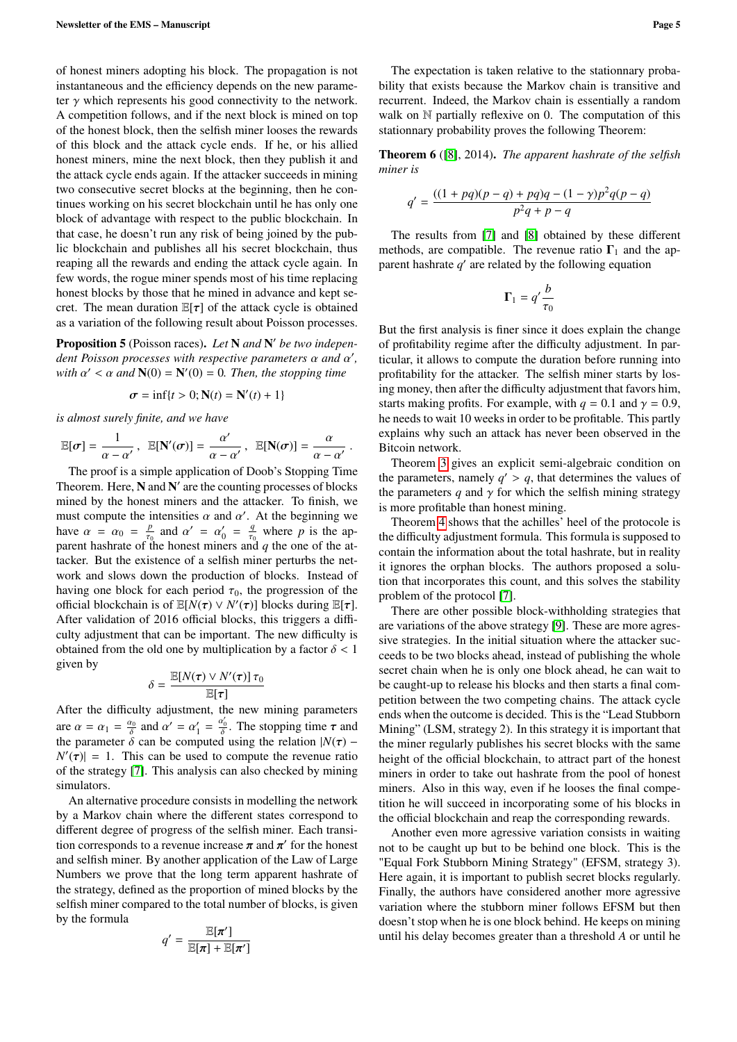of honest miners adopting his block. The propagation is not instantaneous and the efficiency depends on the new parameter  $\gamma$  which represents his good connectivity to the network. A competition follows, and if the next block is mined on top of the honest block, then the selfish miner looses the rewards of this block and the attack cycle ends. If he, or his allied honest miners, mine the next block, then they publish it and the attack cycle ends again. If the attacker succeeds in mining two consecutive secret blocks at the beginning, then he continues working on his secret blockchain until he has only one block of advantage with respect to the public blockchain. In that case, he doesn't run any risk of being joined by the public blockchain and publishes all his secret blockchain, thus reaping all the rewards and ending the attack cycle again. In few words, the rogue miner spends most of his time replacing honest blocks by those that he mined in advance and kept secret. The mean duration  $\mathbb{E}[\tau]$  of the attack cycle is obtained as a variation of the following result about Poisson processes.

Proposition 5 (Poisson races). Let N and N' be two indepen*dent Poisson processes with respective parameters*  $\alpha$  *and*  $\alpha'$ ,  $\alpha'$  *and*  $\mathbf{N}(0) - \mathbf{N}'(0) = 0$ . Then the stopping time with  $\alpha' < \alpha$  and  $\mathbf{N}(0) = \mathbf{N}'(0) = 0$ . Then, the stopping time

$$
\sigma = \inf\{t > 0; \mathbf{N}(t) = \mathbf{N}'(t) + 1\}
$$

*is almost surely finite, and we have*

$$
\mathbb{E}[\sigma] = \frac{1}{\alpha - \alpha'}, \quad \mathbb{E}[\mathbf{N}'(\sigma)] = \frac{\alpha'}{\alpha - \alpha'}, \quad \mathbb{E}[\mathbf{N}(\sigma)] = \frac{\alpha}{\alpha - \alpha'}.
$$
  
The proof is a simple application of Doob's Stopping Time

Theorem. Here,  $N$  and  $N'$  are the counting processes of blocks mined by the honest miners and the attacker. To finish, we must compute the intensities  $\alpha$  and  $\alpha'$ . At the beginning we<br>have  $\alpha = \alpha_0 = \frac{p}{\alpha}$  and  $\alpha' = \alpha' = \frac{q}{\alpha}$  where *n* is the anhave  $\alpha = \alpha_0 = \frac{p}{\tau_0}$  and  $\alpha' = \alpha'_0 = \frac{q}{\tau_0}$  where *p* is the approximate of the honest miners and *a* the one of the atparent hashrate of the honest miners and *q* the one of the attacker. But the existence of a selfish miner perturbs the network and slows down the production of blocks. Instead of having one block for each period  $\tau_0$ , the progression of the official blockchain is of  $\mathbb{E}[\overline{N}(\tau) \vee N'(\tau)]$  blocks during  $\mathbb{E}[\tau]$ .<br>A fter validation of 2016 official blocks, this triggers a diffi-After validation of 2016 official blocks, this triggers a difficulty adjustment that can be important. The new difficulty is obtained from the old one by multiplication by a factor  $\delta$  < 1 given by

$$
\delta = \frac{\mathbb{E}[N(\tau) \vee N'(\tau)] \tau_0}{\mathbb{E}[\tau]}
$$

 $\sigma = \frac{E[\tau]}{E[\tau]}$ <br>After the difficulty adjustment, the new mining parameters are  $\alpha = \alpha_1 = \frac{\alpha_0}{\delta}$  and  $\alpha' = \alpha'_1 = \frac{\alpha'_0}{\delta}$ <br>the parameter  $\delta$  can be computed  $\frac{t_0}{\delta}$ . The stopping time  $\tau$  and<br>dusing the relation  $N(\tau)$ the parameter  $\delta$  can be computed using the relation  $|N(\tau) - N'(\tau)| = 1$ . This can be used to compute the revenue ratio  $N'(\tau)$  = 1. This can be used to compute the revenue ratio of the strategy [7]. This analysis can also checked by mining of the strategy [\[7\]](#page-6-6). This analysis can also checked by mining simulators.

An alternative procedure consists in modelling the network by a Markov chain where the different states correspond to different degree of progress of the selfish miner. Each transition corresponds to a revenue increase  $\pi$  and  $\pi'$  for the honest<br>and selfish miner. By another application of the Law of Large and selfish miner. By another application of the Law of Large Numbers we prove that the long term apparent hashrate of the strategy, defined as the proportion of mined blocks by the selfish miner compared to the total number of blocks, is given by the formula

$$
q' = \frac{\mathbb{E}[\pi']}{\mathbb{E}[\pi] + \mathbb{E}[\pi']}
$$

The expectation is taken relative to the stationnary probability that exists because the Markov chain is transitive and recurrent. Indeed, the Markov chain is essentially a random walk on  $\mathbb N$  partially reflexive on 0. The computation of this stationnary probability proves the following Theorem:

<span id="page-4-0"></span>Theorem 6 ([\[8\]](#page-6-7), 2014). *The apparent hashrate of the selfish miner is*

$$
q' = \frac{((1 + pq)(p - q) + pq)q - (1 - \gamma)p^2q(p - q)}{p^2q + p - q}
$$

The results from [\[7\]](#page-6-6) and [\[8\]](#page-6-7) obtained by these different methods, are compatible. The revenue ratio  $\Gamma_1$  and the apparent hashrate  $q'$  are related by the following equation

$$
\Gamma_1 = q' \frac{b}{\tau_0}
$$

But the first analysis is finer since it does explain the change of profitability regime after the difficulty adjustment. In particular, it allows to compute the duration before running into profitability for the attacker. The selfish miner starts by losing money, then after the difficulty adjustment that favors him, starts making profits. For example, with  $q = 0.1$  and  $\gamma = 0.9$ , he needs to wait 10 weeks in order to be profitable. This partly explains why such an attack has never been observed in the Bitcoin network.

Theorem [3](#page-3-1) gives an explicit semi-algebraic condition on the parameters, namely  $q' > q$ , that determines the values of<br>the parameters *q* and  $\alpha$  for which the selfish mining strategy the parameters  $q$  and  $\gamma$  for which the selfish mining strategy is more profitable than honest mining.

Theorem [4](#page-3-0) shows that the achilles' heel of the protocole is the difficulty adjustment formula. This formula is supposed to contain the information about the total hashrate, but in reality it ignores the orphan blocks. The authors proposed a solution that incorporates this count, and this solves the stability problem of the protocol [\[7\]](#page-6-6).

There are other possible block-withholding strategies that are variations of the above strategy [\[9\]](#page-6-8). These are more agressive strategies. In the initial situation where the attacker succeeds to be two blocks ahead, instead of publishing the whole secret chain when he is only one block ahead, he can wait to be caught-up to release his blocks and then starts a final competition between the two competing chains. The attack cycle ends when the outcome is decided. This is the "Lead Stubborn Mining" (LSM, strategy 2). In this strategy it is important that the miner regularly publishes his secret blocks with the same height of the official blockchain, to attract part of the honest miners in order to take out hashrate from the pool of honest miners. Also in this way, even if he looses the final competition he will succeed in incorporating some of his blocks in the official blockchain and reap the corresponding rewards.

Another even more agressive variation consists in waiting not to be caught up but to be behind one block. This is the "Equal Fork Stubborn Mining Strategy" (EFSM, strategy 3). Here again, it is important to publish secret blocks regularly. Finally, the authors have considered another more agressive variation where the stubborn miner follows EFSM but then doesn't stop when he is one block behind. He keeps on mining until his delay becomes greater than a threshold *A* or until he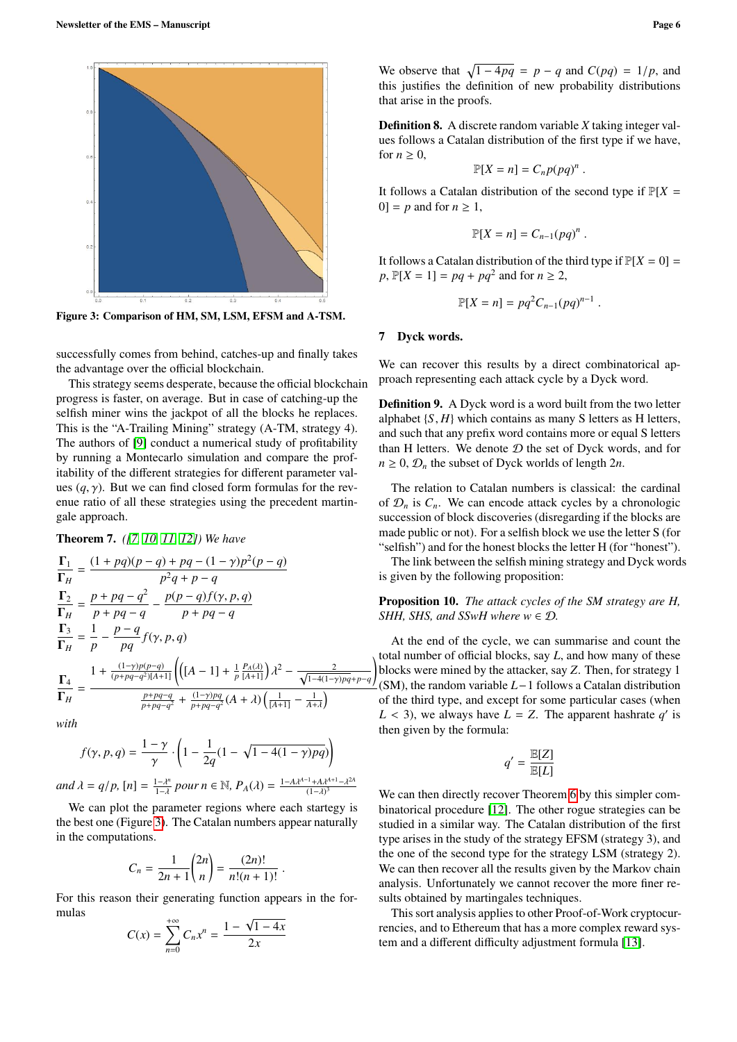<span id="page-5-0"></span>

Figure 3: Comparison of HM, SM, LSM, EFSM and A-TSM.

successfully comes from behind, catches-up and finally takes the advantage over the official blockchain.

This strategy seems desperate, because the official blockchain progress is faster, on average. But in case of catching-up the selfish miner wins the jackpot of all the blocks he replaces. This is the "A-Trailing Mining" strategy (A-TM, strategy 4). The authors of [\[9\]](#page-6-8) conduct a numerical study of profitability by running a Montecarlo simulation and compare the profitability of the different strategies for different parameter values  $(q, \gamma)$ . But we can find closed form formulas for the revenue ratio of all these strategies using the precedent martingale approach.

Theorem 7. *([\[7,](#page-6-6) [10,](#page-6-9) [11,](#page-6-10) [12\]](#page-6-11)) We have*

$$
\frac{\Gamma_1}{\Gamma_H} = \frac{(1 + pq)(p - q) + pq - (1 - \gamma)p^2(p - q)}{p^2q + p - q}
$$
\n
$$
\frac{\Gamma_2}{\Gamma_H} = \frac{p + pq - q^2}{p + pq - q} - \frac{p(p - q)f(\gamma, p, q)}{p + pq - q}
$$
\n
$$
\frac{\Gamma_3}{\Gamma_H} = \frac{1}{p} - \frac{p - q}{pq}f(\gamma, p, q)
$$
\n
$$
\frac{\Gamma_4}{\Gamma_H} = \frac{1 + \frac{(1 - \gamma)p(p - q)}{(p + pq - q^2)[A + 1]}\left(\left[(A - 1] + \frac{1}{p}\frac{P_A(\lambda)}{[A + 1]}\right)\lambda^2 - \frac{2}{\sqrt{1 - 4(1 - \gamma)pq + p - q}}\right)}{\frac{p + pq - q}{p + pq - q^2} + \frac{(1 - \gamma)pq}{p + pq - q^2}(A + \lambda)\left(\frac{1}{[A + 1]} - \frac{1}{A + \lambda}\right)}
$$

*with*

$$
f(\gamma, p, q) = \frac{1 - \gamma}{\gamma} \cdot \left( 1 - \frac{1}{2q} (1 - \sqrt{1 - 4(1 - \gamma)pq}) \right)
$$

 $and \lambda = q/p, [n] = \frac{1-\lambda^n}{1-\lambda}$  pour  $n \in \mathbb{N}, P_A(\lambda) = \frac{1-A\lambda^{A-1}+A\lambda^{A+1}-\lambda}{(1-\lambda)^3}$ 2*A*

We can plot the parameter regions where each startegy is the best one (Figure [3\)](#page-5-0). The Catalan numbers appear naturally in the computations.

$$
C_n = \frac{1}{2n+1} {2n \choose n} = \frac{(2n)!}{n!(n+1)!}.
$$

For this reason their generating function appears in the formulas √

$$
C(x) = \sum_{n=0}^{+\infty} C_n x^n = \frac{1 - \sqrt{1 - 4x}}{2x}
$$

Definition 8. A discrete random variable *X* taking integer values follows a Catalan distribution of the first type if we have, for  $n \geq 0$ ,

$$
\mathbb{P}[X=n] = C_n p(pq)^n.
$$

It follows a Catalan distribution of the second type if  $\mathbb{P}[X]$  $0 = p$  and for  $n \geq 1$ ,

$$
\mathbb{P}[X=n] = C_{n-1}(pq)^n.
$$

It follows a Catalan distribution of the third type if  $\mathbb{P}[X = 0] =$  $p, \mathbb{P}[X = 1] = pq + pq^2$  and for  $n \ge 2$ ,

$$
\mathbb{P}[X=n] = pq^2C_{n-1}(pq)^{n-1}
$$

## 7 Dyck words.

We can recover this results by a direct combinatorical approach representing each attack cycle by a Dyck word.

Definition 9. A Dyck word is a word built from the two letter alphabet  $\{S, H\}$  which contains as many S letters as H letters, and such that any prefix word contains more or equal S letters than H letters. We denote  $D$  the set of Dyck words, and for  $n \geq 0$ ,  $\mathcal{D}_n$  the subset of Dyck worlds of length  $2n$ .

The relation to Catalan numbers is classical: the cardinal of  $\mathcal{D}_n$  is  $C_n$ . We can encode attack cycles by a chronologic succession of block discoveries (disregarding if the blocks are made public or not). For a selfish block we use the letter S (for "selfish") and for the honest blocks the letter H (for "honest").

The link between the selfish mining strategy and Dyck words is given by the following proposition:

# Proposition 10. *The attack cycles of the SM strategy are H, SHH, SHS, and SSwH where*  $w \in \mathcal{D}$ *.*

At the end of the cycle, we can summarise and count the total number of official blocks, say *L*, and how many of these blocks were mined by the attacker, say *Z*. Then, for strategy 1 (SM), the random variable *L*−1 follows a Catalan distribution of the third type, and except for some particular cases (when  $L < 3$ ), we always have  $L = Z$ . The apparent hashrate *q'* is<br>then given by the formula: then given by the formula:

$$
q' = \frac{\mathbb{E}[Z]}{\mathbb{E}[L]}
$$

We can then directly recover Theorem [6](#page-4-0) by this simpler combinatorical procedure [\[12\]](#page-6-11). The other rogue strategies can be studied in a similar way. The Catalan distribution of the first type arises in the study of the strategy EFSM (strategy 3), and the one of the second type for the strategy LSM (strategy 2). We can then recover all the results given by the Markov chain analysis. Unfortunately we cannot recover the more finer results obtained by martingales techniques.

This sort analysis applies to other Proof-of-Work cryptocurrencies, and to Ethereum that has a more complex reward system and a different difficulty adjustment formula [\[13\]](#page-6-12).